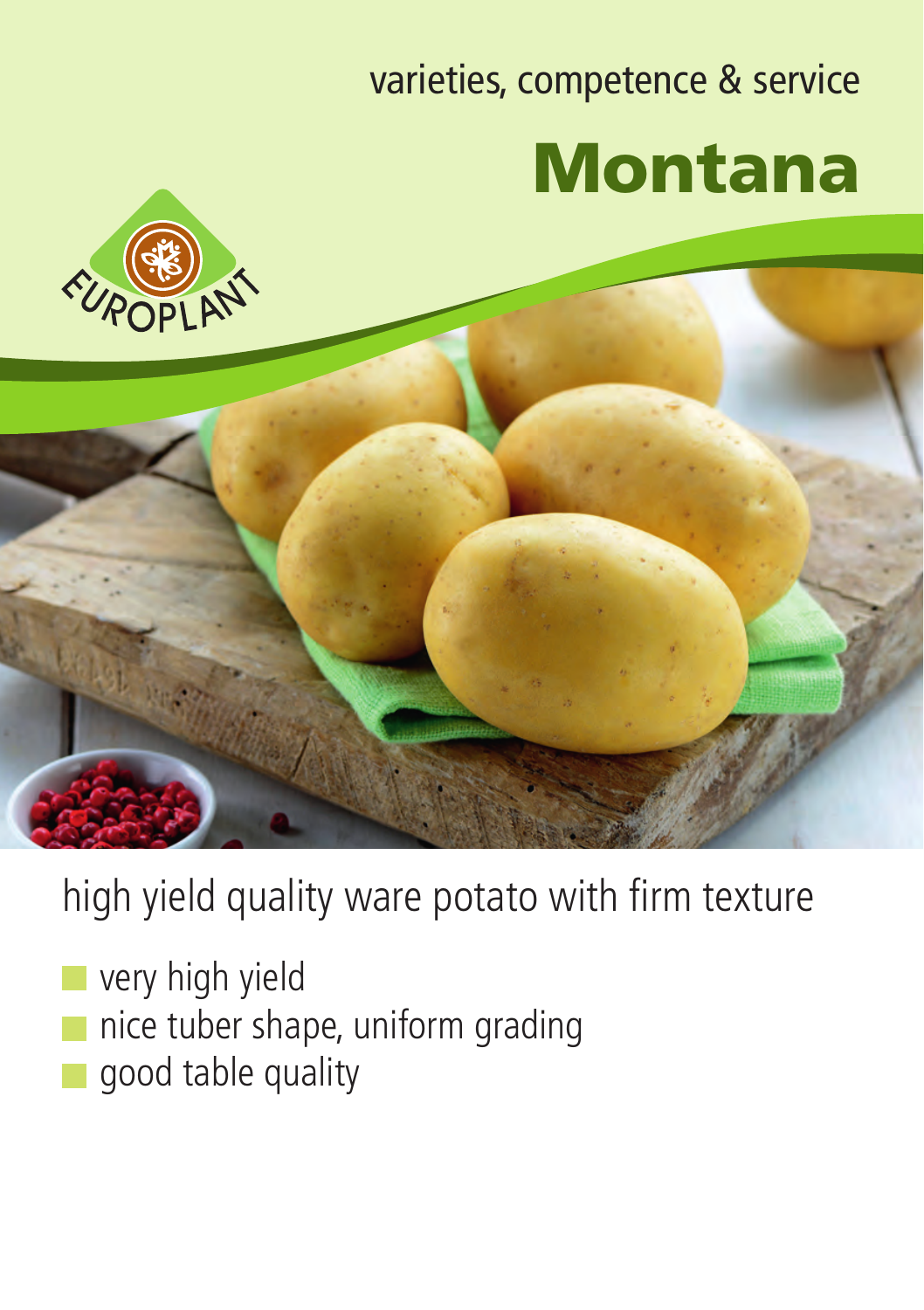## varieties, competence & service Montana





high yield quality ware potato with firm texture

- very high yield
- nice tuber shape, uniform grading
- good table quality